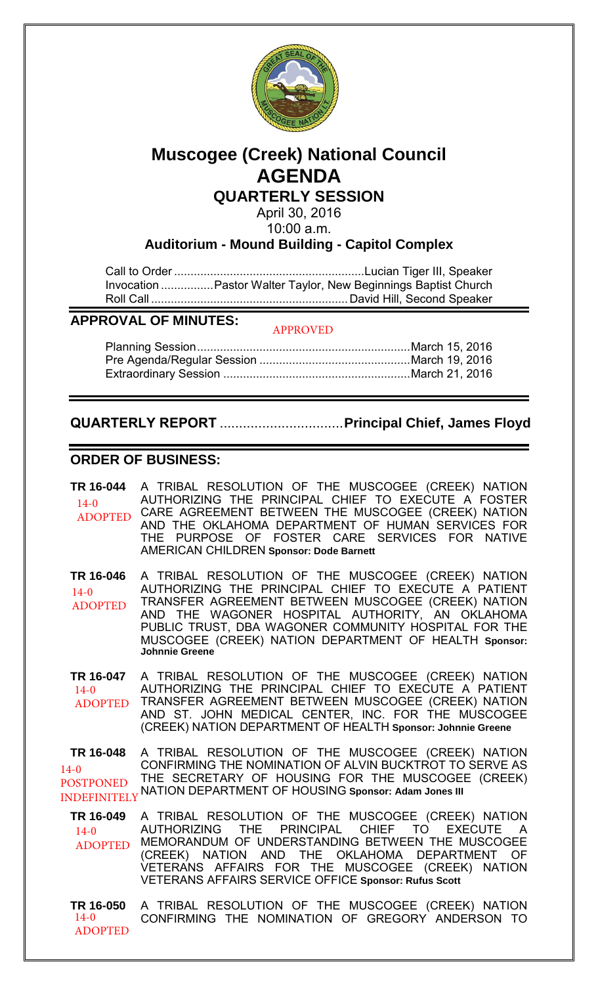

# **Muscogee (Creek) National Council AGENDA**

**QUARTERLY SESSION**

April 30, 2016 10:00 a.m.

**Auditorium - Mound Building - Capitol Complex**

Call to Order .......................................................... Lucian Tiger III, Speaker Invocation ................. Pastor Walter Taylor, New Beginnings Baptist Church Roll Call ............................................................ David Hill, Second Speaker

## **APPROVAL OF MINUTES:**

#### APPROVED

# **QUARTERLY REPORT** ................................**Principal Chief, James Floyd**

## **ORDER OF BUSINESS:**

| TR 16-044<br>$14-0$<br><b>ADOPTED</b>                          | A TRIBAL RESOLUTION OF THE MUSCOGEE (CREEK) NATION<br>AUTHORIZING THE PRINCIPAL CHIEF TO EXECUTE A FOSTER<br>CARE AGREEMENT BETWEEN THE MUSCOGEE (CREEK) NATION<br>AND THE OKLAHOMA DEPARTMENT OF HUMAN SERVICES FOR<br>THE PURPOSE OF FOSTER CARE SERVICES FOR NATIVE<br><b>AMERICAN CHILDREN Sponsor: Dode Barnett</b>                                      |
|----------------------------------------------------------------|---------------------------------------------------------------------------------------------------------------------------------------------------------------------------------------------------------------------------------------------------------------------------------------------------------------------------------------------------------------|
| TR 16-046<br>$14-0$<br><b>ADOPTED</b>                          | A TRIBAL RESOLUTION OF THE MUSCOGEE (CREEK) NATION<br>AUTHORIZING THE PRINCIPAL CHIEF TO EXECUTE A PATIENT<br>TRANSFER AGREEMENT BETWEEN MUSCOGEE (CREEK) NATION<br>AND THE WAGONER HOSPITAL AUTHORITY, AN OKLAHOMA<br>PUBLIC TRUST, DBA WAGONER COMMUNITY HOSPITAL FOR THE<br>MUSCOGEE (CREEK) NATION DEPARTMENT OF HEALTH Sponsor:<br><b>Johnnie Greene</b> |
| TR 16-047<br>$14-0$<br><b>ADOPTED</b>                          | A TRIBAL RESOLUTION OF THE MUSCOGEE (CREEK) NATION<br>AUTHORIZING THE PRINCIPAL CHIEF TO EXECUTE A PATIENT<br>TRANSFER AGREEMENT BETWEEN MUSCOGEE (CREEK) NATION<br>AND ST. JOHN MEDICAL CENTER, INC. FOR THE MUSCOGEE<br>(CREEK) NATION DEPARTMENT OF HEALTH Sponsor: Johnnie Greene                                                                         |
| TR 16-048<br>$14-0$<br><b>POSTPONED</b><br><b>INDEFINITELY</b> | A TRIBAL RESOLUTION OF THE MUSCOGEE (CREEK) NATION<br>CONFIRMING THE NOMINATION OF ALVIN BUCKTROT TO SERVE AS<br>THE SECRETARY OF HOUSING FOR THE MUSCOGEE (CREEK)<br>NATION DEPARTMENT OF HOUSING Sponsor: Adam Jones III                                                                                                                                    |
| TR 16-049<br>$14-0$<br><b>ADOPTED</b>                          | A TRIBAL RESOLUTION OF THE MUSCOGEE (CREEK) NATION<br>AUTHORIZING THE PRINCIPAL CHIEF TO EXECUTE<br>$\overline{A}$<br>MEMORANDUM OF UNDERSTANDING BETWEEN THE MUSCOGEE<br>(CREEK) NATION AND THE OKLAHOMA DEPARTMENT OF<br>VETERANS AFFAIRS FOR THE MUSCOGEE (CREEK) NATION<br><b>VETERANS AFFAIRS SERVICE OFFICE Sponsor: Rufus Scott</b>                    |
| TR 16-050<br>$14-0$<br><b>ADOPTED</b>                          | A TRIBAL RESOLUTION OF THE MUSCOGEE (CREEK) NATION<br>CONFIRMING THE NOMINATION OF GREGORY ANDERSON TO                                                                                                                                                                                                                                                        |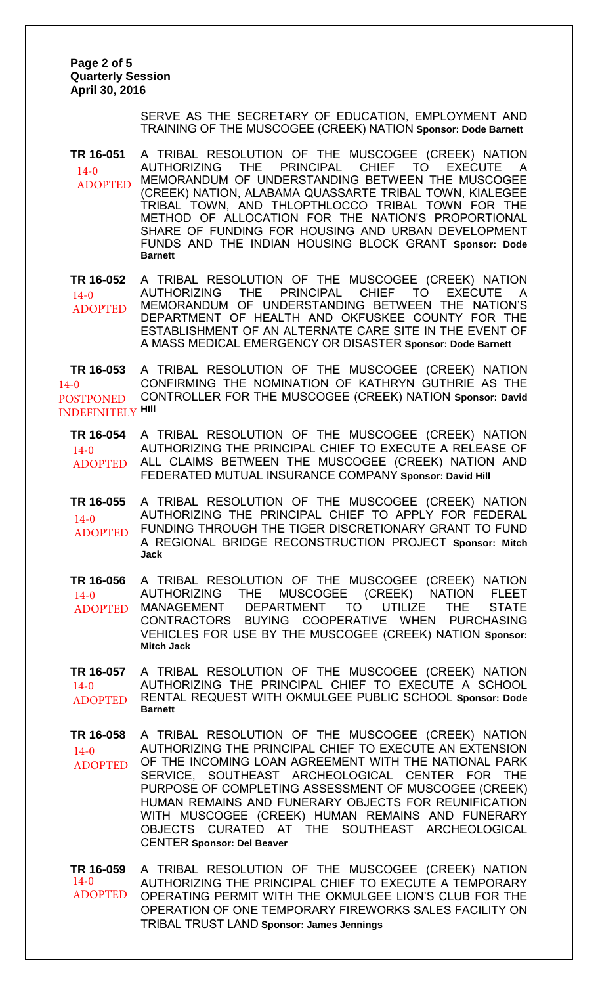**Page 2 of 5 Quarterly Session April 30, 2016** 

> SERVE AS THE SECRETARY OF EDUCATION, EMPLOYMENT AND TRAINING OF THE MUSCOGEE (CREEK) NATION **Sponsor: Dode Barnett**

**TR 16-051** A TRIBAL RESOLUTION OF THE MUSCOGEE (CREEK) NATION AUTHORIZING THE PRINCIPAL CHIEF TO EXECUTE A MEMORANDUM OF UNDERSTANDING BETWEEN THE MUSCOGEE (CREEK) NATION, ALABAMA QUASSARTE TRIBAL TOWN, KIALEGEE TRIBAL TOWN, AND THLOPTHLOCCO TRIBAL TOWN FOR THE METHOD OF ALLOCATION FOR THE NATION'S PROPORTIONAL SHARE OF FUNDING FOR HOUSING AND URBAN DEVELOPMENT FUNDS AND THE INDIAN HOUSING BLOCK GRANT **Sponsor: Dode Barnett** 14-0 ADOPTED

**TR 16-052** A TRIBAL RESOLUTION OF THE MUSCOGEE (CREEK) NATION AUTHORIZING THE PRINCIPAL CHIEF TO EXECUTE MEMORANDUM OF UNDERSTANDING BETWEEN THE NATION'S DEPARTMENT OF HEALTH AND OKFUSKEE COUNTY FOR THE ESTABLISHMENT OF AN ALTERNATE CARE SITE IN THE EVENT OF A MASS MEDICAL EMERGENCY OR DISASTER **Sponsor: Dode Barnett** 14-0 ADOPTED

**TR 16-053** A TRIBAL RESOLUTION OF THE MUSCOGEE (CREEK) NATION CONFIRMING THE NOMINATION OF KATHRYN GUTHRIE AS THE CONTROLLER FOR THE MUSCOGEE (CREEK) NATION **Sponsor: David HIll** INDEFINITELY 14-0 POSTPONED

**TR 16-054** A TRIBAL RESOLUTION OF THE MUSCOGEE (CREEK) NATION AUTHORIZING THE PRINCIPAL CHIEF TO EXECUTE A RELEASE OF ALL CLAIMS BETWEEN THE MUSCOGEE (CREEK) NATION AND FEDERATED MUTUAL INSURANCE COMPANY **Sponsor: David Hill**  $14-0$ ADOPTED

**TR 16-055** A TRIBAL RESOLUTION OF THE MUSCOGEE (CREEK) NATION AUTHORIZING THE PRINCIPAL CHIEF TO APPLY FOR FEDERAL FUNDING THROUGH THE TIGER DISCRETIONARY GRANT TO FUND A REGIONAL BRIDGE RECONSTRUCTION PROJECT **Sponsor: Mitch Jack** 14-0 ADOPTED

**TR 16-056** A TRIBAL RESOLUTION OF THE MUSCOGEE (CREEK) NATION AUTHORIZING THE MUSCOGEE (CREEK) NATION FLEET MANAGEMENT DEPARTMENT TO UTILIZE THE STATE CONTRACTORS BUYING COOPERATIVE WHEN PURCHASING VEHICLES FOR USE BY THE MUSCOGEE (CREEK) NATION **Sponsor: Mitch Jack**  $14-0$ ADOPTED

**TR 16-057** A TRIBAL RESOLUTION OF THE MUSCOGEE (CREEK) NATION AUTHORIZING THE PRINCIPAL CHIEF TO EXECUTE A SCHOOL RENTAL REQUEST WITH OKMULGEE PUBLIC SCHOOL **Sponsor: Dode Barnett**  $14-0$ ADOPTED

**TR 16-058** A TRIBAL RESOLUTION OF THE MUSCOGEE (CREEK) NATION AUTHORIZING THE PRINCIPAL CHIEF TO EXECUTE AN EXTENSION OF THE INCOMING LOAN AGREEMENT WITH THE NATIONAL PARK SERVICE, SOUTHEAST ARCHEOLOGICAL CENTER FOR THE PURPOSE OF COMPLETING ASSESSMENT OF MUSCOGEE (CREEK) HUMAN REMAINS AND FUNERARY OBJECTS FOR REUNIFICATION WITH MUSCOGEE (CREEK) HUMAN REMAINS AND FUNERARY OBJECTS CURATED AT THE SOUTHEAST ARCHEOLOGICAL CENTER **Sponsor: Del Beaver** 14-0 ADOPTED

**TR 16-059** A TRIBAL RESOLUTION OF THE MUSCOGEE (CREEK) NATION AUTHORIZING THE PRINCIPAL CHIEF TO EXECUTE A TEMPORARY OPERATING PERMIT WITH THE OKMULGEE LION'S CLUB FOR THE OPERATION OF ONE TEMPORARY FIREWORKS SALES FACILITY ON TRIBAL TRUST LAND **Sponsor: James Jennings** 14-0 ADOPTED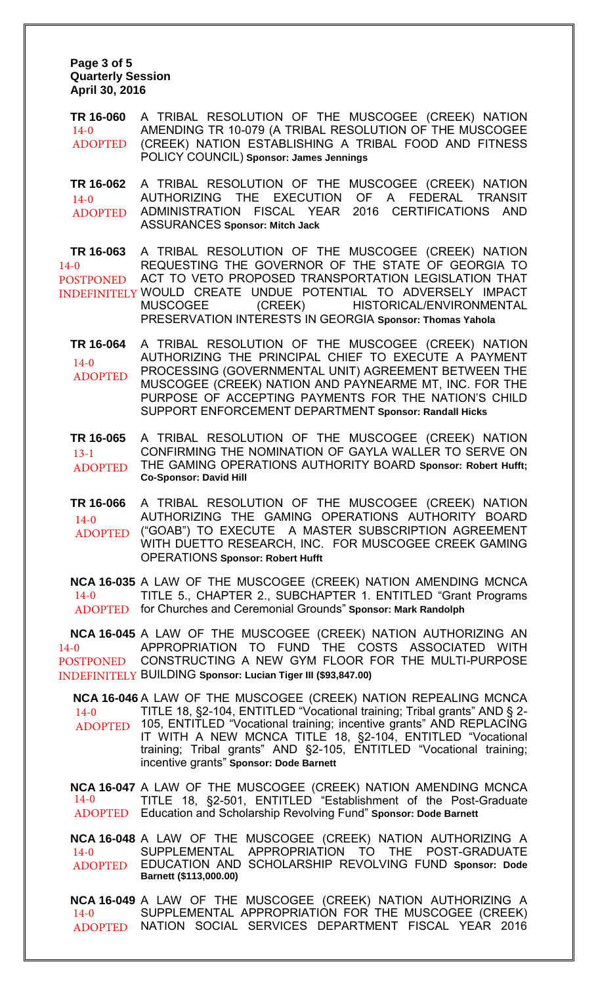**Page 3 of 5 Quarterly Session April 30, 2016** 

**TR 16-060** A TRIBAL RESOLUTION OF THE MUSCOGEE (CREEK) NATION AMENDING TR 10-079 (A TRIBAL RESOLUTION OF THE MUSCOGEE (CREEK) NATION ESTABLISHING A TRIBAL FOOD AND FITNESS POLICY COUNCIL) **Sponsor: James Jennings**  $14-0$ ADOPTED

**TR 16-062** A TRIBAL RESOLUTION OF THE MUSCOGEE (CREEK) NATION AUTHORIZING THE EXECUTION OF A FEDERAL TRANSIT ADMINISTRATION FISCAL YEAR 2016 CERTIFICATIONS AND ASSURANCES **Sponsor: Mitch Jack**  $14-0$ ADOPTED

**TR 16-063** A TRIBAL RESOLUTION OF THE MUSCOGEE (CREEK) NATION REQUESTING THE GOVERNOR OF THE STATE OF GEORGIA TO ACT TO VETO PROPOSED TRANSPORTATION LEGISLATION THAT INDEFINITELY WOULD CREATE UNDUE POTENTIAL TO ADVERSELY IMPACT MUSCOGEE (CREEK) HISTORICAL/ENVIRONMENTAL PRESERVATION INTERESTS IN GEORGIA **Sponsor: Thomas Yahola** 14-0 POSTPONED

**TR 16-064** A TRIBAL RESOLUTION OF THE MUSCOGEE (CREEK) NATION AUTHORIZING THE PRINCIPAL CHIEF TO EXECUTE A PAYMENT PROCESSING (GOVERNMENTAL UNIT) AGREEMENT BETWEEN THE MUSCOGEE (CREEK) NATION AND PAYNEARME MT, INC. FOR THE PURPOSE OF ACCEPTING PAYMENTS FOR THE NATION'S CHILD SUPPORT ENFORCEMENT DEPARTMENT **Sponsor: Randall Hicks**  $14-0$ ADOPTED

**TR 16-065** A TRIBAL RESOLUTION OF THE MUSCOGEE (CREEK) NATION CONFIRMING THE NOMINATION OF GAYLA WALLER TO SERVE ON THE GAMING OPERATIONS AUTHORITY BOARD **Sponsor: Robert Hufft; Co-Sponsor: David Hill** 13-1 ADOPTED

**TR 16-066** A TRIBAL RESOLUTION OF THE MUSCOGEE (CREEK) NATION AUTHORIZING THE GAMING OPERATIONS AUTHORITY BOARD ("GOAB") TO EXECUTE A MASTER SUBSCRIPTION AGREEMENT WITH DUETTO RESEARCH, INC. FOR MUSCOGEE CREEK GAMING OPERATIONS **Sponsor: Robert Hufft**  $14-0$ ADOPTED

**NCA 16-035** A LAW OF THE MUSCOGEE (CREEK) NATION AMENDING MCNCA TITLE 5., CHAPTER 2., SUBCHAPTER 1. ENTITLED "Grant Programs ADOPTED for Churches and Ceremonial Grounds" Sponsor: Mark Randolph  $14 - 0$ 

**NCA 16-045** A LAW OF THE MUSCOGEE (CREEK) NATION AUTHORIZING AN APPROPRIATION TO FUND THE COSTS ASSOCIATED WITH CONSTRUCTING A NEW GYM FLOOR FOR THE MULTI-PURPOSE BUILDING **Sponsor: Lucian Tiger III (\$93,847.00)**  INDEFINITELY 14-0 POSTPONED

**NCA 16-046** A LAW OF THE MUSCOGEE (CREEK) NATION REPEALING MCNCA TITLE 18, §2-104, ENTITLED "Vocational training; Tribal grants" AND § 2- 105, ENTITLED "Vocational training; incentive grants" AND REPLACING IT WITH A NEW MCNCA TITLE 18, §2-104, ENTITLED "Vocational training; Tribal grants" AND §2-105, ENTITLED "Vocational training; incentive grants" **Sponsor: Dode Barnett**   $14-0$ ADOPTED

**NCA 16-047** A LAW OF THE MUSCOGEE (CREEK) NATION AMENDING MCNCA TITLE 18, §2-501, ENTITLED "Establishment of the Post-Graduate Education and Scholarship Revolving Fund" **Sponsor: Dode Barnett** 14-0 ADOPTED

**NCA 16-048** A LAW OF THE MUSCOGEE (CREEK) NATION AUTHORIZING A SUPPLEMENTAL APPROPRIATION TO THE POST-GRADUATE EDUCATION AND SCHOLARSHIP REVOLVING FUND **Sponsor: Dode Barnett (\$113,000.00)** 14-0 ADOPTED

**NCA 16-049** A LAW OF THE MUSCOGEE (CREEK) NATION AUTHORIZING A SUPPLEMENTAL APPROPRIATION FOR THE MUSCOGEE (CREEK) NATION SOCIAL SERVICES DEPARTMENT FISCAL YEAR 2016  $14 - 0$ ADOPTED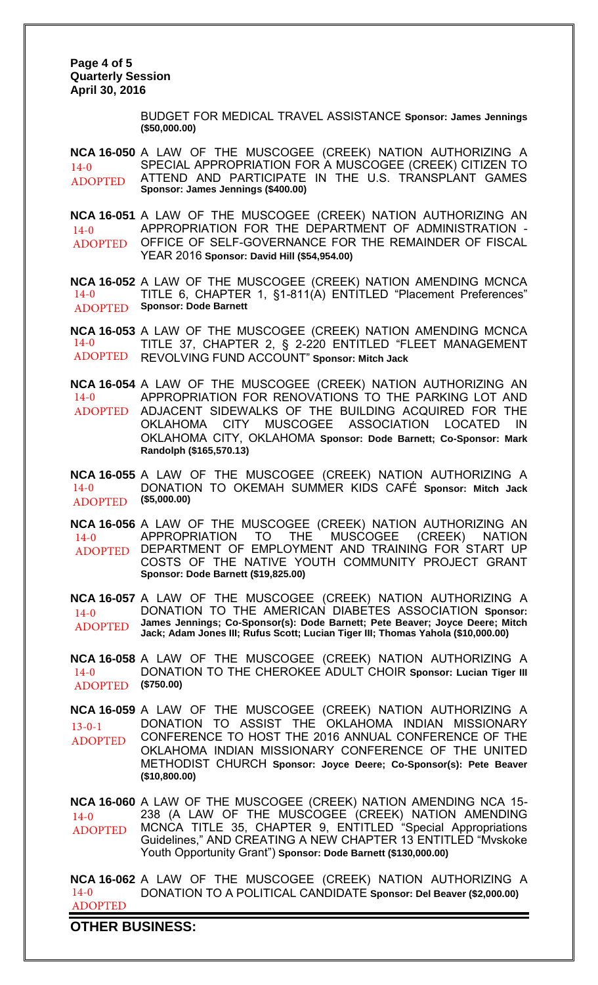**Page 4 of 5 Quarterly Session April 30, 2016** 

> BUDGET FOR MEDICAL TRAVEL ASSISTANCE **Sponsor: James Jennings (\$50,000.00)**

**NCA 16-050** A LAW OF THE MUSCOGEE (CREEK) NATION AUTHORIZING A SPECIAL APPROPRIATION FOR A MUSCOGEE (CREEK) CITIZEN TO ATTEND AND PARTICIPATE IN THE U.S. TRANSPLANT GAMES **Sponsor: James Jennings (\$400.00)** 14-0 ADOPTED

**NCA 16-051** A LAW OF THE MUSCOGEE (CREEK) NATION AUTHORIZING AN APPROPRIATION FOR THE DEPARTMENT OF ADMINISTRATION - OFFICE OF SELF-GOVERNANCE FOR THE REMAINDER OF FISCAL YEAR 2016 **Sponsor: David Hill (\$54,954.00)** 14-0 ADOPTED

**NCA 16-052** A LAW OF THE MUSCOGEE (CREEK) NATION AMENDING MCNCA TITLE 6, CHAPTER 1, §1-811(A) ENTITLED "Placement Preferences" **Sponsor: Dode Barnett** 14-0 ADOPTED

**NCA 16-053** A LAW OF THE MUSCOGEE (CREEK) NATION AMENDING MCNCA TITLE 37, CHAPTER 2, § 2-220 ENTITLED "FLEET MANAGEMENT REVOLVING FUND ACCOUNT" **Sponsor: Mitch Jack** 14-0 ADOPTED

**NCA 16-054** A LAW OF THE MUSCOGEE (CREEK) NATION AUTHORIZING AN APPROPRIATION FOR RENOVATIONS TO THE PARKING LOT AND ADJACENT SIDEWALKS OF THE BUILDING ACQUIRED FOR THE OKLAHOMA CITY MUSCOGEE ASSOCIATION LOCATED IN OKLAHOMA CITY, OKLAHOMA **Sponsor: Dode Barnett; Co-Sponsor: Mark Randolph (\$165,570.13)** 14-0 ADOPTED

**NCA 16-055** A LAW OF THE MUSCOGEE (CREEK) NATION AUTHORIZING A DONATION TO OKEMAH SUMMER KIDS CAFÉ **Sponsor: Mitch Jack (\$5,000.00)** 14-0 ADOPTED

**NCA 16-056** A LAW OF THE MUSCOGEE (CREEK) NATION AUTHORIZING AN APPROPRIATION TO THE MUSCOGEE (CREEK) NATION DEPARTMENT OF EMPLOYMENT AND TRAINING FOR START UP COSTS OF THE NATIVE YOUTH COMMUNITY PROJECT GRANT **Sponsor: Dode Barnett (\$19,825.00)** 14-0 ADOPTED

**NCA 16-057** A LAW OF THE MUSCOGEE (CREEK) NATION AUTHORIZING A DONATION TO THE AMERICAN DIABETES ASSOCIATION **Sponsor: James Jennings; Co-Sponsor(s): Dode Barnett; Pete Beaver; Joyce Deere; Mitch Jack; Adam Jones III; Rufus Scott; Lucian Tiger III; Thomas Yahola (\$10,000.00)** 14-0 ADOPTED

**NCA 16-058** A LAW OF THE MUSCOGEE (CREEK) NATION AUTHORIZING A DONATION TO THE CHEROKEE ADULT CHOIR **Sponsor: Lucian Tiger III (\$750.00)** 14-0 ADOPTED

**NCA 16-059** A LAW OF THE MUSCOGEE (CREEK) NATION AUTHORIZING A DONATION TO ASSIST THE OKLAHOMA INDIAN MISSIONARY CONFERENCE TO HOST THE 2016 ANNUAL CONFERENCE OF THE OKLAHOMA INDIAN MISSIONARY CONFERENCE OF THE UNITED METHODIST CHURCH **Sponsor: Joyce Deere; Co-Sponsor(s): Pete Beaver (\$10,800.00)** 13-0-1 ADOPTED

**NCA 16-060** A LAW OF THE MUSCOGEE (CREEK) NATION AMENDING NCA 15- 238 (A LAW OF THE MUSCOGEE (CREEK) NATION AMENDING MCNCA TITLE 35, CHAPTER 9, ENTITLED "Special Appropriations Guidelines," AND CREATING A NEW CHAPTER 13 ENTITLED "Mvskoke Youth Opportunity Grant") **Sponsor: Dode Barnett (\$130,000.00)**  $14-0$ ADOPTED

**NCA 16-062** A LAW OF THE MUSCOGEE (CREEK) NATION AUTHORIZING A DONATION TO A POLITICAL CANDIDATE **Sponsor: Del Beaver (\$2,000.00)** 14-0 ADOPTED

**OTHER BUSINESS:**